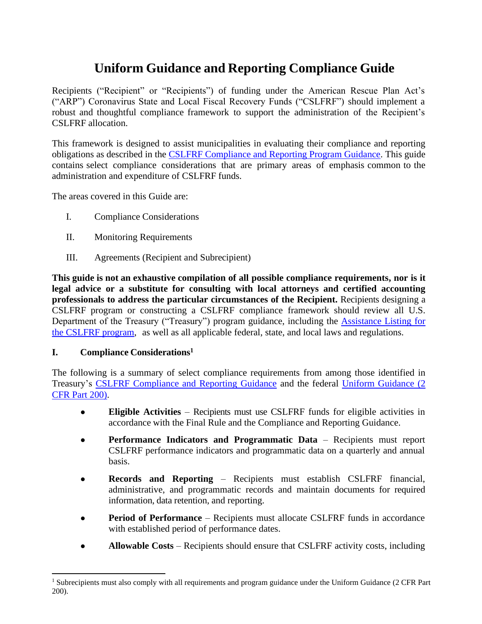# **Uniform Guidance and Reporting Compliance Guide**

Recipients ("Recipient" or "Recipients") of funding under the American Rescue Plan Act's ("ARP") Coronavirus State and Local Fiscal Recovery Funds ("CSLFRF") should implement a robust and thoughtful compliance framework to support the administration of the Recipient's CSLFRF allocation.

This framework is designed to assist municipalities in evaluating their compliance and reporting obligations as described in the [CSLFRF Compliance and Reporting Program Guidance.](https://home.treasury.gov/system/files/136/SLFRF-Compliance-and-Reporting-Guidance.pdf) This guide contains select compliance considerations that are primary areas of emphasis common to the administration and expenditure of CSLFRF funds.

The areas covered in this Guide are:

- I. Compliance Considerations
- II. Monitoring Requirements
- III. Agreements (Recipient and Subrecipient)

**This guide is not an exhaustive compilation of all possible compliance requirements, nor is it legal advice or a substitute for consulting with local attorneys and certified accounting professionals to address the particular circumstances of the Recipient.** Recipients designing a CSLFRF program or constructing a CSLFRF compliance framework should review all U.S. Department of the Treasury ("Treasury") program guidance, including the [Assistance Listing for](https://sam.gov/fal/7cecfdef62dc42729a3fdcd449bd62b8/view)  [the CSLFRF program,](https://sam.gov/fal/7cecfdef62dc42729a3fdcd449bd62b8/view) as well as all applicable federal, state, and local laws and regulations.

#### **I. Compliance Considerations<sup>1</sup>**

The following is a summary of select compliance requirements from among those identified in Treasury's [CSLFRF Compliance and Reporting Guidance](https://home.treasury.gov/system/files/136/SLFRF-Compliance-and-Reporting-Guidance.pdf) and the federal [Uniform Guidance \(2](https://www.ecfr.gov/current/title-2/subtitle-A/chapter-II/part-200)  [CFR Part 200\).](https://www.ecfr.gov/current/title-2/subtitle-A/chapter-II/part-200)

- **Eligible Activities** Recipients must use CSLFRF funds for eligible activities in accordance with the Final Rule and the Compliance and Reporting Guidance.
- **Performance Indicators and Programmatic Data**  Recipients must report CSLFRF performance indicators and programmatic data on a quarterly and annual basis.
- **Records and Reporting**  Recipients must establish CSLFRF financial, administrative, and programmatic records and maintain documents for required information, data retention, and reporting.
- **Period of Performance** Recipients must allocate CSLFRF funds in accordance with established period of performance dates.
- **Allowable Costs** Recipients should ensure that CSLFRF activity costs, including

<sup>&</sup>lt;sup>1</sup> Subrecipients must also comply with all requirements and program guidance under the Uniform Guidance (2 CFR Part 200).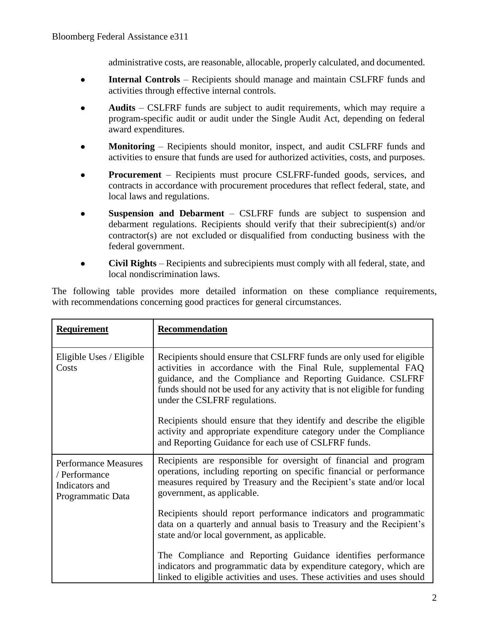administrative costs, are reasonable, allocable, properly calculated, and documented.

- **Internal Controls**  Recipients should manage and maintain CSLFRF funds and activities through effective internal controls.
- **Audits**  CSLFRF funds are subject to audit requirements, which may require a program-specific audit or audit under the Single Audit Act, depending on federal award expenditures.
- **Monitoring** Recipients should monitor, inspect, and audit CSLFRF funds and activities to ensure that funds are used for authorized activities, costs, and purposes.
- **Procurement** Recipients must procure CSLFRF-funded goods, services, and contracts in accordance with procurement procedures that reflect federal, state, and local laws and regulations.
- **Suspension and Debarment**  CSLFRF funds are subject to suspension and debarment regulations. Recipients should verify that their subrecipient(s) and/or contractor(s) are not excluded or disqualified from conducting business with the federal government.
- **Civil Rights**  Recipients and subrecipients must comply with all federal, state, and local nondiscrimination laws.

The following table provides more detailed information on these compliance requirements, with recommendations concerning good practices for general circumstances.

| <b>Requirement</b>                                                                  | Recommendation                                                                                                                                                                                                                                                                                                        |
|-------------------------------------------------------------------------------------|-----------------------------------------------------------------------------------------------------------------------------------------------------------------------------------------------------------------------------------------------------------------------------------------------------------------------|
| Eligible Uses / Eligible<br>Costs                                                   | Recipients should ensure that CSLFRF funds are only used for eligible<br>activities in accordance with the Final Rule, supplemental FAQ<br>guidance, and the Compliance and Reporting Guidance. CSLFRF<br>funds should not be used for any activity that is not eligible for funding<br>under the CSLFRF regulations. |
|                                                                                     | Recipients should ensure that they identify and describe the eligible<br>activity and appropriate expenditure category under the Compliance<br>and Reporting Guidance for each use of CSLFRF funds.                                                                                                                   |
| <b>Performance Measures</b><br>/ Performance<br>Indicators and<br>Programmatic Data | Recipients are responsible for oversight of financial and program<br>operations, including reporting on specific financial or performance<br>measures required by Treasury and the Recipient's state and/or local<br>government, as applicable.                                                                       |
|                                                                                     | Recipients should report performance indicators and programmatic<br>data on a quarterly and annual basis to Treasury and the Recipient's<br>state and/or local government, as applicable.                                                                                                                             |
|                                                                                     | The Compliance and Reporting Guidance identifies performance<br>indicators and programmatic data by expenditure category, which are<br>linked to eligible activities and uses. These activities and uses should                                                                                                       |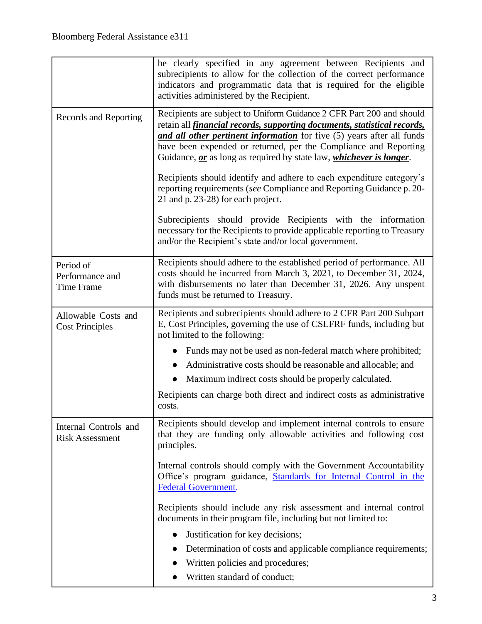|                                                   | be clearly specified in any agreement between Recipients and<br>subrecipients to allow for the collection of the correct performance<br>indicators and programmatic data that is required for the eligible<br>activities administered by the Recipient.                                                                                                                              |
|---------------------------------------------------|--------------------------------------------------------------------------------------------------------------------------------------------------------------------------------------------------------------------------------------------------------------------------------------------------------------------------------------------------------------------------------------|
| <b>Records and Reporting</b>                      | Recipients are subject to Uniform Guidance 2 CFR Part 200 and should<br>retain all <i>financial records, supporting documents, statistical records,</i><br>and all other pertinent information for five (5) years after all funds<br>have been expended or returned, per the Compliance and Reporting<br>Guidance, or as long as required by state law, <i>whichever is longer</i> . |
|                                                   | Recipients should identify and adhere to each expenditure category's<br>reporting requirements (see Compliance and Reporting Guidance p. 20-<br>21 and p. 23-28) for each project.                                                                                                                                                                                                   |
|                                                   | Subrecipients should provide Recipients with the information<br>necessary for the Recipients to provide applicable reporting to Treasury<br>and/or the Recipient's state and/or local government.                                                                                                                                                                                    |
| Period of<br>Performance and<br><b>Time Frame</b> | Recipients should adhere to the established period of performance. All<br>costs should be incurred from March 3, 2021, to December 31, 2024,<br>with disbursements no later than December 31, 2026. Any unspent<br>funds must be returned to Treasury.                                                                                                                               |
| Allowable Costs and<br><b>Cost Principles</b>     | Recipients and subrecipients should adhere to 2 CFR Part 200 Subpart<br>E, Cost Principles, governing the use of CSLFRF funds, including but<br>not limited to the following:                                                                                                                                                                                                        |
|                                                   | Funds may not be used as non-federal match where prohibited;                                                                                                                                                                                                                                                                                                                         |
|                                                   | Administrative costs should be reasonable and allocable; and                                                                                                                                                                                                                                                                                                                         |
|                                                   | Maximum indirect costs should be properly calculated.                                                                                                                                                                                                                                                                                                                                |
|                                                   | Recipients can charge both direct and indirect costs as administrative<br>costs.                                                                                                                                                                                                                                                                                                     |
| Internal Controls and<br><b>Risk Assessment</b>   | Recipients should develop and implement internal controls to ensure<br>that they are funding only allowable activities and following cost<br>principles.                                                                                                                                                                                                                             |
|                                                   | Internal controls should comply with the Government Accountability<br>Office's program guidance, Standards for Internal Control in the<br><b>Federal Government.</b>                                                                                                                                                                                                                 |
|                                                   | Recipients should include any risk assessment and internal control<br>documents in their program file, including but not limited to:                                                                                                                                                                                                                                                 |
|                                                   | Justification for key decisions;                                                                                                                                                                                                                                                                                                                                                     |
|                                                   | Determination of costs and applicable compliance requirements;                                                                                                                                                                                                                                                                                                                       |
|                                                   | Written policies and procedures;                                                                                                                                                                                                                                                                                                                                                     |
|                                                   | Written standard of conduct;                                                                                                                                                                                                                                                                                                                                                         |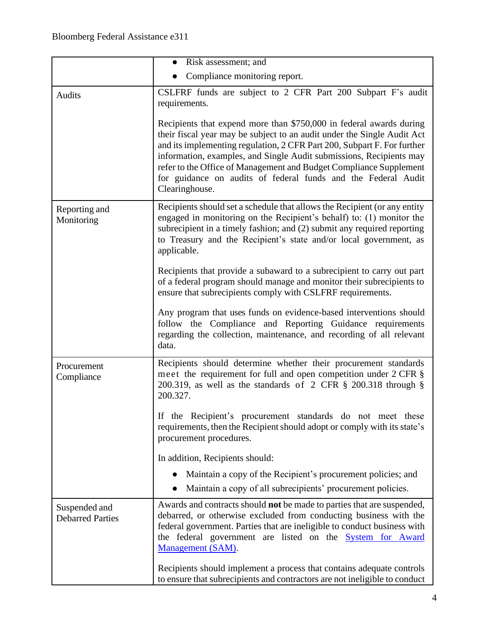|                                          | Risk assessment; and                                                                                                                                                                                                                                                                                                                                                                                                                                      |
|------------------------------------------|-----------------------------------------------------------------------------------------------------------------------------------------------------------------------------------------------------------------------------------------------------------------------------------------------------------------------------------------------------------------------------------------------------------------------------------------------------------|
|                                          | Compliance monitoring report.                                                                                                                                                                                                                                                                                                                                                                                                                             |
| <b>Audits</b>                            | CSLFRF funds are subject to 2 CFR Part 200 Subpart F's audit<br>requirements.                                                                                                                                                                                                                                                                                                                                                                             |
|                                          | Recipients that expend more than \$750,000 in federal awards during<br>their fiscal year may be subject to an audit under the Single Audit Act<br>and its implementing regulation, 2 CFR Part 200, Subpart F. For further<br>information, examples, and Single Audit submissions, Recipients may<br>refer to the Office of Management and Budget Compliance Supplement<br>for guidance on audits of federal funds and the Federal Audit<br>Clearinghouse. |
| Reporting and<br>Monitoring              | Recipients should set a schedule that allows the Recipient (or any entity<br>engaged in monitoring on the Recipient's behalf) to: (1) monitor the<br>subrecipient in a timely fashion; and (2) submit any required reporting<br>to Treasury and the Recipient's state and/or local government, as<br>applicable.                                                                                                                                          |
|                                          | Recipients that provide a subaward to a subrecipient to carry out part<br>of a federal program should manage and monitor their subrecipients to<br>ensure that subrecipients comply with CSLFRF requirements.                                                                                                                                                                                                                                             |
|                                          | Any program that uses funds on evidence-based interventions should<br>follow the Compliance and Reporting Guidance requirements<br>regarding the collection, maintenance, and recording of all relevant<br>data.                                                                                                                                                                                                                                          |
| Procurement<br>Compliance                | Recipients should determine whether their procurement standards<br>meet the requirement for full and open competition under 2 CFR §<br>200.319, as well as the standards of $2$ CFR $\S$ 200.318 through $\S$<br>200.327.                                                                                                                                                                                                                                 |
|                                          | If the Recipient's procurement standards do not meet these<br>requirements, then the Recipient should adopt or comply with its state's<br>procurement procedures.                                                                                                                                                                                                                                                                                         |
|                                          | In addition, Recipients should:                                                                                                                                                                                                                                                                                                                                                                                                                           |
|                                          | Maintain a copy of the Recipient's procurement policies; and                                                                                                                                                                                                                                                                                                                                                                                              |
|                                          | Maintain a copy of all subrecipients' procurement policies.                                                                                                                                                                                                                                                                                                                                                                                               |
| Suspended and<br><b>Debarred Parties</b> | Awards and contracts should <b>not</b> be made to parties that are suspended,<br>debarred, or otherwise excluded from conducting business with the<br>federal government. Parties that are ineligible to conduct business with<br>the federal government are listed on the <b>System</b> for Award<br>Management (SAM).                                                                                                                                   |
|                                          | Recipients should implement a process that contains adequate controls<br>to ensure that subrecipients and contractors are not ineligible to conduct                                                                                                                                                                                                                                                                                                       |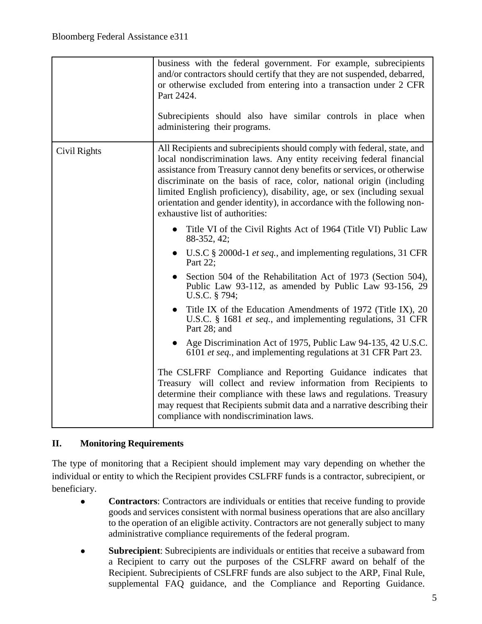|              | business with the federal government. For example, subrecipients<br>and/or contractors should certify that they are not suspended, debarred,<br>or otherwise excluded from entering into a transaction under 2 CFR<br>Part 2424.<br>Subrecipients should also have similar controls in place when<br>administering their programs.                                                                                                                                                                                                                                                                                                                                                                                                                                                                                                                                                                                                                   |
|--------------|------------------------------------------------------------------------------------------------------------------------------------------------------------------------------------------------------------------------------------------------------------------------------------------------------------------------------------------------------------------------------------------------------------------------------------------------------------------------------------------------------------------------------------------------------------------------------------------------------------------------------------------------------------------------------------------------------------------------------------------------------------------------------------------------------------------------------------------------------------------------------------------------------------------------------------------------------|
| Civil Rights | All Recipients and subrecipients should comply with federal, state, and<br>local nondiscrimination laws. Any entity receiving federal financial<br>assistance from Treasury cannot deny benefits or services, or otherwise<br>discriminate on the basis of race, color, national origin (including<br>limited English proficiency), disability, age, or sex (including sexual<br>orientation and gender identity), in accordance with the following non-<br>exhaustive list of authorities:                                                                                                                                                                                                                                                                                                                                                                                                                                                          |
|              | Title VI of the Civil Rights Act of 1964 (Title VI) Public Law<br>$\bullet$<br>88-352, 42;<br>U.S.C § 2000d-1 <i>et seq.</i> , and implementing regulations, 31 CFR<br>Part 22;<br>Section 504 of the Rehabilitation Act of 1973 (Section 504),<br>Public Law 93-112, as amended by Public Law 93-156, 29<br>U.S.C. § 794;<br>Title IX of the Education Amendments of 1972 (Title IX), 20<br>U.S.C. § 1681 <i>et seq.</i> , and implementing regulations, 31 CFR<br>Part 28; and<br>• Age Discrimination Act of 1975, Public Law 94-135, 42 U.S.C.<br>6101 et seq., and implementing regulations at 31 CFR Part 23.<br>The CSLFRF Compliance and Reporting Guidance indicates that<br>Treasury will collect and review information from Recipients to<br>determine their compliance with these laws and regulations. Treasury<br>may request that Recipients submit data and a narrative describing their<br>compliance with nondiscrimination laws. |

### **II. Monitoring Requirements**

The type of monitoring that a Recipient should implement may vary depending on whether the individual or entity to which the Recipient provides CSLFRF funds is a contractor, subrecipient, or beneficiary.

- **Contractors**: Contractors are individuals or entities that receive funding to provide goods and services consistent with normal business operations that are also ancillary to the operation of an eligible activity. Contractors are not generally subject to many administrative compliance requirements of the federal program.
- **Subrecipient**: Subrecipients are individuals or entities that receive a subaward from a Recipient to carry out the purposes of the CSLFRF award on behalf of the Recipient. Subrecipients of CSLFRF funds are also subject to the ARP, Final Rule, supplemental FAQ guidance, and the Compliance and Reporting Guidance.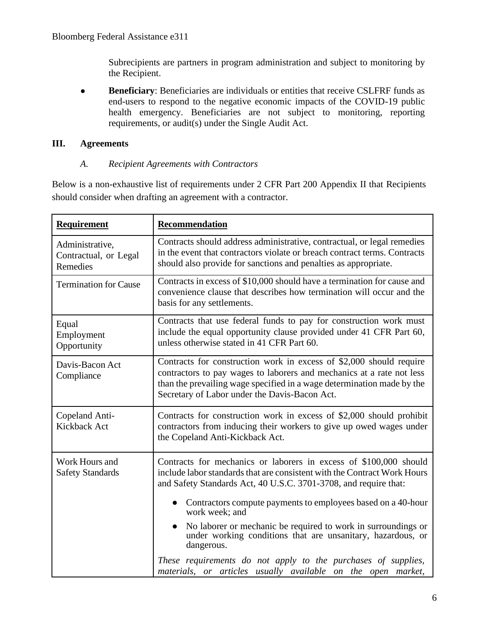Subrecipients are partners in program administration and subject to monitoring by the Recipient.

● **Beneficiary**: Beneficiaries are individuals or entities that receive CSLFRF funds as end-users to respond to the negative economic impacts of the COVID-19 public health emergency. Beneficiaries are not subject to monitoring, reporting requirements, or audit(s) under the Single Audit Act.

#### **III. Agreements**

#### *A. Recipient Agreements with Contractors*

Below is a non-exhaustive list of requirements under 2 CFR Part 200 Appendix II that Recipients should consider when drafting an agreement with a contractor.

| <b>Requirement</b>                                   | Recommendation                                                                                                                                                                                                                                                          |
|------------------------------------------------------|-------------------------------------------------------------------------------------------------------------------------------------------------------------------------------------------------------------------------------------------------------------------------|
| Administrative,<br>Contractual, or Legal<br>Remedies | Contracts should address administrative, contractual, or legal remedies<br>in the event that contractors violate or breach contract terms. Contracts<br>should also provide for sanctions and penalties as appropriate.                                                 |
| <b>Termination for Cause</b>                         | Contracts in excess of \$10,000 should have a termination for cause and<br>convenience clause that describes how termination will occur and the<br>basis for any settlements.                                                                                           |
| Equal<br>Employment<br>Opportunity                   | Contracts that use federal funds to pay for construction work must<br>include the equal opportunity clause provided under 41 CFR Part 60,<br>unless otherwise stated in 41 CFR Part 60.                                                                                 |
| Davis-Bacon Act<br>Compliance                        | Contracts for construction work in excess of \$2,000 should require<br>contractors to pay wages to laborers and mechanics at a rate not less<br>than the prevailing wage specified in a wage determination made by the<br>Secretary of Labor under the Davis-Bacon Act. |
| Copeland Anti-<br>Kickback Act                       | Contracts for construction work in excess of \$2,000 should prohibit<br>contractors from inducing their workers to give up owed wages under<br>the Copeland Anti-Kickback Act.                                                                                          |
| Work Hours and<br><b>Safety Standards</b>            | Contracts for mechanics or laborers in excess of \$100,000 should<br>include labor standards that are consistent with the Contract Work Hours<br>and Safety Standards Act, 40 U.S.C. 3701-3708, and require that:                                                       |
|                                                      | Contractors compute payments to employees based on a 40-hour<br>$\bullet$<br>work week; and                                                                                                                                                                             |
|                                                      | No laborer or mechanic be required to work in surroundings or<br>under working conditions that are unsanitary, hazardous, or<br>dangerous.                                                                                                                              |
|                                                      | These requirements do not apply to the purchases of supplies,<br>materials, or articles usually available on the open market,                                                                                                                                           |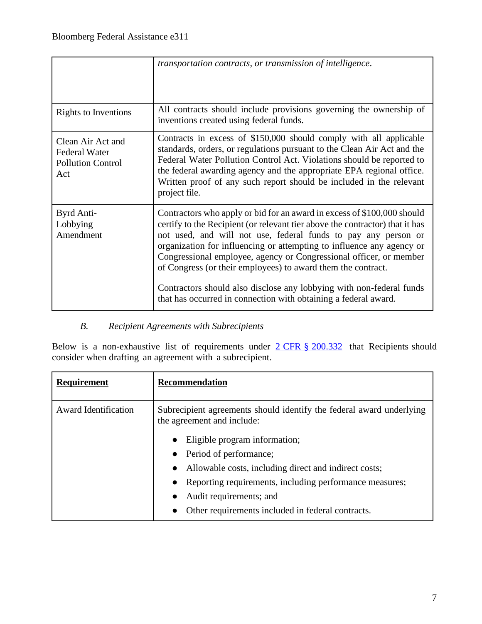|                                                                              | transportation contracts, or transmission of intelligence.                                                                                                                                                                                                                                                                                                                                                                                                                                                                                                                          |
|------------------------------------------------------------------------------|-------------------------------------------------------------------------------------------------------------------------------------------------------------------------------------------------------------------------------------------------------------------------------------------------------------------------------------------------------------------------------------------------------------------------------------------------------------------------------------------------------------------------------------------------------------------------------------|
| <b>Rights to Inventions</b>                                                  | All contracts should include provisions governing the ownership of<br>inventions created using federal funds.                                                                                                                                                                                                                                                                                                                                                                                                                                                                       |
| Clean Air Act and<br><b>Federal Water</b><br><b>Pollution Control</b><br>Act | Contracts in excess of \$150,000 should comply with all applicable<br>standards, orders, or regulations pursuant to the Clean Air Act and the<br>Federal Water Pollution Control Act. Violations should be reported to<br>the federal awarding agency and the appropriate EPA regional office.<br>Written proof of any such report should be included in the relevant<br>project file.                                                                                                                                                                                              |
| Byrd Anti-<br>Lobbying<br>Amendment                                          | Contractors who apply or bid for an award in excess of \$100,000 should<br>certify to the Recipient (or relevant tier above the contractor) that it has<br>not used, and will not use, federal funds to pay any person or<br>organization for influencing or attempting to influence any agency or<br>Congressional employee, agency or Congressional officer, or member<br>of Congress (or their employees) to award them the contract.<br>Contractors should also disclose any lobbying with non-federal funds<br>that has occurred in connection with obtaining a federal award. |

## *B. Recipient Agreements with Subrecipients*

Below is a non-exhaustive list of requirements under  $2 \text{ CFR} \text{ s} 200.332$  that Recipients should consider when drafting an agreement with a subrecipient.

| <b>Requirement</b>          | <b>Recommendation</b>                                                                              |
|-----------------------------|----------------------------------------------------------------------------------------------------|
| <b>Award Identification</b> | Subrecipient agreements should identify the federal award underlying<br>the agreement and include: |
|                             | Eligible program information;<br>$\bullet$                                                         |
|                             | Period of performance;                                                                             |
|                             | Allowable costs, including direct and indirect costs;<br>$\bullet$                                 |
|                             | Reporting requirements, including performance measures;                                            |
|                             | Audit requirements; and                                                                            |
|                             | Other requirements included in federal contracts.                                                  |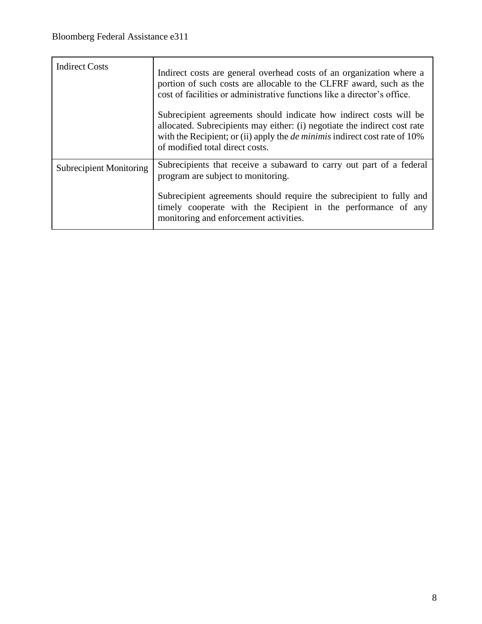| <b>Indirect Costs</b>          | Indirect costs are general overhead costs of an organization where a<br>portion of such costs are allocable to the CLFRF award, such as the<br>cost of facilities or administrative functions like a director's office.<br>Subrecipient agreements should indicate how indirect costs will be<br>allocated. Subrecipients may either: (i) negotiate the indirect cost rate<br>with the Recipient; or (ii) apply the <i>de minimis</i> indirect cost rate of 10%<br>of modified total direct costs. |
|--------------------------------|----------------------------------------------------------------------------------------------------------------------------------------------------------------------------------------------------------------------------------------------------------------------------------------------------------------------------------------------------------------------------------------------------------------------------------------------------------------------------------------------------|
| <b>Subrecipient Monitoring</b> | Subrecipients that receive a subaward to carry out part of a federal<br>program are subject to monitoring.                                                                                                                                                                                                                                                                                                                                                                                         |
|                                | Subrecipient agreements should require the subrecipient to fully and<br>timely cooperate with the Recipient in the performance of any<br>monitoring and enforcement activities.                                                                                                                                                                                                                                                                                                                    |